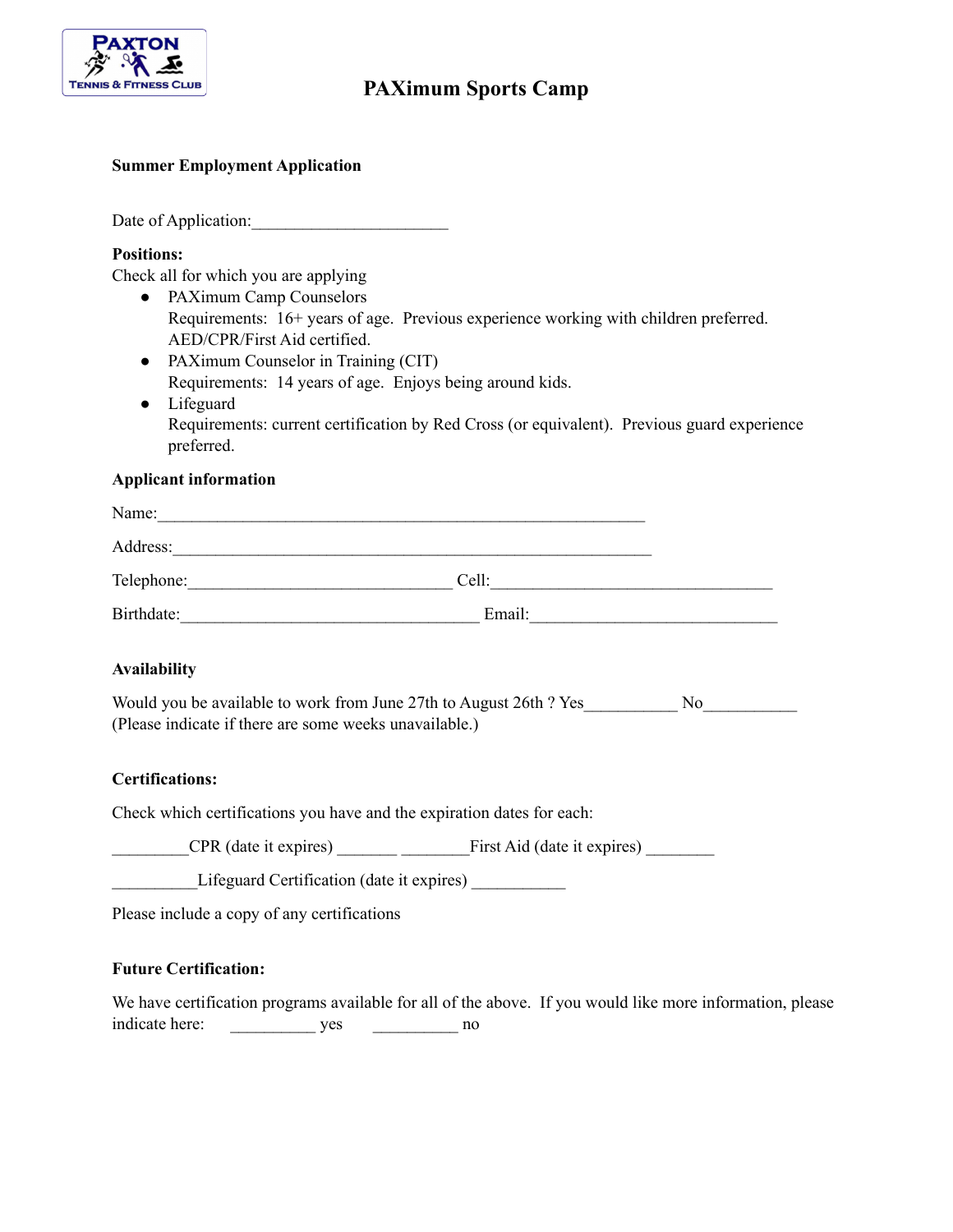

# **PAXimum Sports Camp**

## **Summer Employment Application**

Date of Application:

#### **Positions:**

Check all for which you are applying

- PAXimum Camp Counselors Requirements: 16+ years of age. Previous experience working with children preferred. AED/CPR/First Aid certified.
- PAXimum Counselor in Training (CIT) Requirements: 14 years of age. Enjoys being around kids.
- Lifeguard Requirements: current certification by Red Cross (or equivalent). Previous guard experience preferred.

#### **Applicant information**

| Name:      |        |  |
|------------|--------|--|
| Address:   |        |  |
| Telephone: | Cell:  |  |
| Birthdate: | Email: |  |

## **Availability**

Would you be available to work from June 27th to August 26th ? Yes No (Please indicate if there are some weeks unavailable.)

## **Certifications:**

Check which certifications you have and the expiration dates for each:

CPR (date it expires) First Aid (date it expires)

Lifeguard Certification (date it expires) \_\_\_\_\_\_\_\_\_\_\_

Please include a copy of any certifications

## **Future Certification:**

We have certification programs available for all of the above. If you would like more information, please indicate here: \_\_\_\_\_\_\_\_\_\_\_\_ yes \_\_\_\_\_\_\_\_\_ no